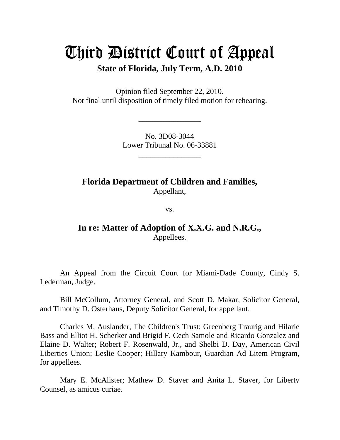# Third District Court of Appeal

**State of Florida, July Term, A.D. 2010** 

Opinion filed September 22, 2010. Not final until disposition of timely filed motion for rehearing.

> No. 3D08-3044 Lower Tribunal No. 06-33881

> > \_\_\_\_\_\_\_\_\_\_\_\_\_\_\_\_

\_\_\_\_\_\_\_\_\_\_\_\_\_\_\_\_

**Florida Department of Children and Families,**  Appellant,

vs.

**In re: Matter of Adoption of X.X.G. and N.R.G.,**  Appellees.

 An Appeal from the Circuit Court for Miami-Dade County, Cindy S. Lederman, Judge.

 Bill McCollum, Attorney General, and Scott D. Makar, Solicitor General, and Timothy D. Osterhaus, Deputy Solicitor General, for appellant.

 Charles M. Auslander, The Children's Trust; Greenberg Traurig and Hilarie Bass and Elliot H. Scherker and Brigid F. Cech Samole and Ricardo Gonzalez and Elaine D. Walter; Robert F. Rosenwald, Jr., and Shelbi D. Day, American Civil Liberties Union; Leslie Cooper; Hillary Kambour, Guardian Ad Litem Program, for appellees.

 Mary E. McAlister; Mathew D. Staver and Anita L. Staver, for Liberty Counsel, as amicus curiae.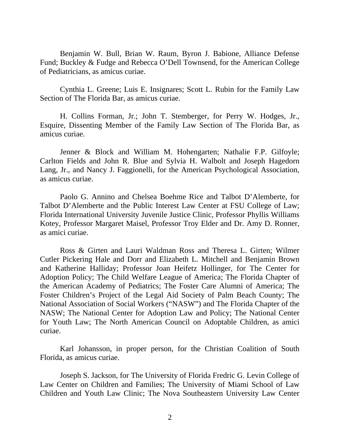Benjamin W. Bull, Brian W. Raum, Byron J. Babione, Alliance Defense Fund; Buckley & Fudge and Rebecca O'Dell Townsend, for the American College of Pediatricians, as amicus curiae.

 Cynthia L. Greene; Luis E. Insignares; Scott L. Rubin for the Family Law Section of The Florida Bar, as amicus curiae.

 H. Collins Forman, Jr.; John T. Stemberger, for Perry W. Hodges, Jr., Esquire, Dissenting Member of the Family Law Section of The Florida Bar, as amicus curiae.

 Jenner & Block and William M. Hohengarten; Nathalie F.P. Gilfoyle; Carlton Fields and John R. Blue and Sylvia H. Walbolt and Joseph Hagedorn Lang, Jr., and Nancy J. Faggionelli, for the American Psychological Association, as amicus curiae.

 Paolo G. Annino and Chelsea Boehme Rice and Talbot D'Alemberte, for Talbot D'Alemberte and the Public Interest Law Center at FSU College of Law; Florida International University Juvenile Justice Clinic, Professor Phyllis Williams Kotey, Professor Margaret Maisel, Professor Troy Elder and Dr. Amy D. Ronner, as amici curiae.

 Ross & Girten and Lauri Waldman Ross and Theresa L. Girten; Wilmer Cutler Pickering Hale and Dorr and Elizabeth L. Mitchell and Benjamin Brown and Katherine Halliday; Professor Joan Heifetz Hollinger, for The Center for Adoption Policy; The Child Welfare League of America; The Florida Chapter of the American Academy of Pediatrics; The Foster Care Alumni of America; The Foster Children's Project of the Legal Aid Society of Palm Beach County; The National Association of Social Workers ("NASW") and The Florida Chapter of the NASW; The National Center for Adoption Law and Policy; The National Center for Youth Law; The North American Council on Adoptable Children, as amici curiae.

 Karl Johansson, in proper person, for the Christian Coalition of South Florida, as amicus curiae.

Joseph S. Jackson, for The University of Florida Fredric G. Levin College of Law Center on Children and Families; The University of Miami School of Law Children and Youth Law Clinic; The Nova Southeastern University Law Center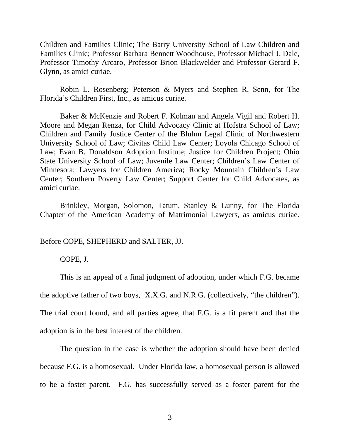Children and Families Clinic; The Barry University School of Law Children and Families Clinic; Professor Barbara Bennett Woodhouse, Professor Michael J. Dale, Professor Timothy Arcaro, Professor Brion Blackwelder and Professor Gerard F. Glynn, as amici curiae.

 Robin L. Rosenberg; Peterson & Myers and Stephen R. Senn, for The Florida's Children First, Inc., as amicus curiae.

 Baker & McKenzie and Robert F. Kolman and Angela Vigil and Robert H. Moore and Megan Renza, for Child Advocacy Clinic at Hofstra School of Law; Children and Family Justice Center of the Bluhm Legal Clinic of Northwestern University School of Law; Civitas Child Law Center; Loyola Chicago School of Law; Evan B. Donaldson Adoption Institute; Justice for Children Project; Ohio State University School of Law; Juvenile Law Center; Children's Law Center of Minnesota; Lawyers for Children America; Rocky Mountain Children's Law Center; Southern Poverty Law Center; Support Center for Child Advocates, as amici curiae.

 Brinkley, Morgan, Solomon, Tatum, Stanley & Lunny, for The Florida Chapter of the American Academy of Matrimonial Lawyers, as amicus curiae.

Before COPE, SHEPHERD and SALTER, JJ.

COPE, J.

This is an appeal of a final judgment of adoption, under which F.G. became

the adoptive father of two boys, X.X.G. and N.R.G. (collectively, "the children").

The trial court found, and all parties agree, that F.G. is a fit parent and that the

adoption is in the best interest of the children.

 The question in the case is whether the adoption should have been denied because F.G. is a homosexual. Under Florida law, a homosexual person is allowed to be a foster parent. F.G. has successfully served as a foster parent for the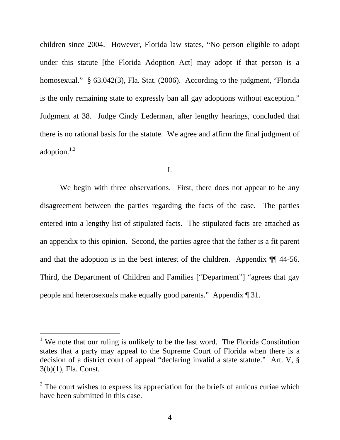children since 2004. However, Florida law states, "No person eligible to adopt under this statute [the Florida Adoption Act] may adopt if that person is a homosexual." § 63.042(3), Fla. Stat. (2006). According to the judgment, "Florida" is the only remaining state to expressly ban all gay adoptions without exception." Judgment at 38. Judge Cindy Lederman, after lengthy hearings, concluded that there is no rational basis for the statute. We agree and affirm the final judgment of adoption. $1,2$ 

I.

 We begin with three observations. First, there does not appear to be any disagreement between the parties regarding the facts of the case. The parties entered into a lengthy list of stipulated facts. The stipulated facts are attached as an appendix to this opinion. Second, the parties agree that the father is a fit parent and that the adoption is in the best interest of the children. Appendix ¶¶ 44-56. Third, the Department of Children and Families ["Department"] "agrees that gay people and heterosexuals make equally good parents." Appendix ¶ 31.

<sup>&</sup>lt;sup>1</sup> We note that our ruling is unlikely to be the last word. The Florida Constitution states that a party may appeal to the Supreme Court of Florida when there is a decision of a district court of appeal "declaring invalid a state statute." Art. V, § 3(b)(1), Fla. Const.

 $2^2$  The court wishes to express its appreciation for the briefs of amicus curiae which have been submitted in this case.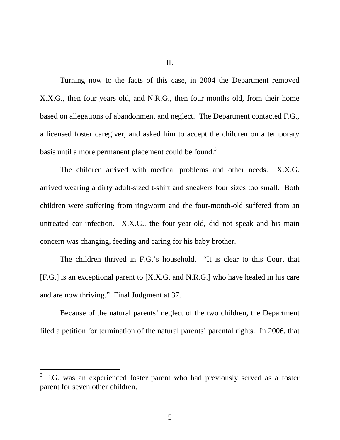II.

 Turning now to the facts of this case, in 2004 the Department removed X.X.G., then four years old, and N.R.G., then four months old, from their home based on allegations of abandonment and neglect. The Department contacted F.G., a licensed foster caregiver, and asked him to accept the children on a temporary basis until a more permanent placement could be found.<sup>3</sup>

 The children arrived with medical problems and other needs. X.X.G. arrived wearing a dirty adult-sized t-shirt and sneakers four sizes too small. Both children were suffering from ringworm and the four-month-old suffered from an untreated ear infection. X.X.G., the four-year-old, did not speak and his main concern was changing, feeding and caring for his baby brother.

The children thrived in F.G.'s household. "It is clear to this Court that [F.G.] is an exceptional parent to [X.X.G. and N.R.G.] who have healed in his care and are now thriving." Final Judgment at 37.

 Because of the natural parents' neglect of the two children, the Department filed a petition for termination of the natural parents' parental rights. In 2006, that

 $\overline{a}$ 

 $3$  F.G. was an experienced foster parent who had previously served as a foster parent for seven other children.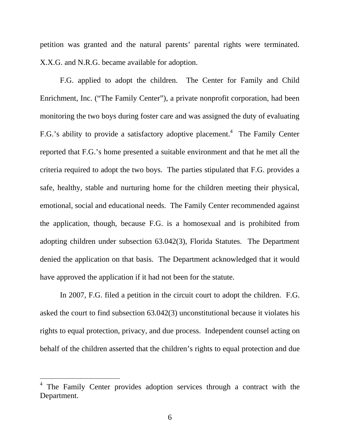petition was granted and the natural parents' parental rights were terminated. X.X.G. and N.R.G. became available for adoption.

 F.G. applied to adopt the children. The Center for Family and Child Enrichment, Inc. ("The Family Center"), a private nonprofit corporation, had been monitoring the two boys during foster care and was assigned the duty of evaluating F.G.'s ability to provide a satisfactory adoptive placement.<sup>4</sup> The Family Center reported that F.G.'s home presented a suitable environment and that he met all the criteria required to adopt the two boys. The parties stipulated that F.G. provides a safe, healthy, stable and nurturing home for the children meeting their physical, emotional, social and educational needs. The Family Center recommended against the application, though, because F.G. is a homosexual and is prohibited from adopting children under subsection 63.042(3), Florida Statutes. The Department denied the application on that basis. The Department acknowledged that it would have approved the application if it had not been for the statute.

 In 2007, F.G. filed a petition in the circuit court to adopt the children. F.G. asked the court to find subsection 63.042(3) unconstitutional because it violates his rights to equal protection, privacy, and due process. Independent counsel acting on behalf of the children asserted that the children's rights to equal protection and due

 $\overline{a}$ 

<sup>4</sup> The Family Center provides adoption services through a contract with the Department.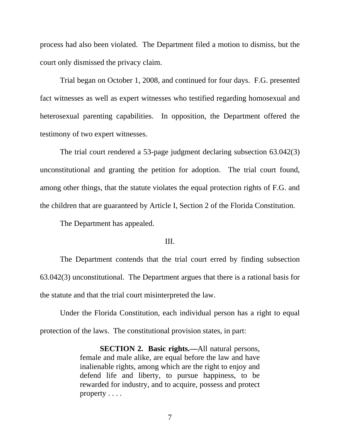process had also been violated. The Department filed a motion to dismiss, but the court only dismissed the privacy claim.

Trial began on October 1, 2008, and continued for four days. F.G. presented fact witnesses as well as expert witnesses who testified regarding homosexual and heterosexual parenting capabilities. In opposition, the Department offered the testimony of two expert witnesses.

 The trial court rendered a 53-page judgment declaring subsection 63.042(3) unconstitutional and granting the petition for adoption. The trial court found, among other things, that the statute violates the equal protection rights of F.G. and the children that are guaranteed by Article I, Section 2 of the Florida Constitution.

The Department has appealed.

## III.

 The Department contends that the trial court erred by finding subsection 63.042(3) unconstitutional. The Department argues that there is a rational basis for the statute and that the trial court misinterpreted the law.

 Under the Florida Constitution, each individual person has a right to equal protection of the laws. The constitutional provision states, in part:

> **SECTION 2. Basic rights.—**All natural persons, female and male alike, are equal before the law and have inalienable rights, among which are the right to enjoy and defend life and liberty, to pursue happiness, to be rewarded for industry, and to acquire, possess and protect property . . . .

> > 7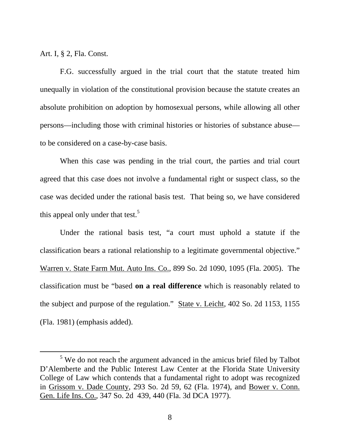Art. I, § 2, Fla. Const.

 F.G. successfully argued in the trial court that the statute treated him unequally in violation of the constitutional provision because the statute creates an absolute prohibition on adoption by homosexual persons, while allowing all other persons—including those with criminal histories or histories of substance abuse to be considered on a case-by-case basis.

 When this case was pending in the trial court, the parties and trial court agreed that this case does not involve a fundamental right or suspect class, so the case was decided under the rational basis test. That being so, we have considered this appeal only under that test.<sup>5</sup>

Under the rational basis test, "a court must uphold a statute if the classification bears a rational relationship to a legitimate governmental objective." Warren v. State Farm Mut. Auto Ins. Co., 899 So. 2d 1090, 1095 (Fla. 2005). The classification must be "based **on a real difference** which is reasonably related to the subject and purpose of the regulation." State v. Leicht, 402 So. 2d 1153, 1155 (Fla. 1981) (emphasis added).

 $rac{1}{\sqrt{5}}$  $5$  We do not reach the argument advanced in the amicus brief filed by Talbot D'Alemberte and the Public Interest Law Center at the Florida State University College of Law which contends that a fundamental right to adopt was recognized in Grissom v. Dade County, 293 So. 2d 59, 62 (Fla. 1974), and Bower v. Conn. Gen. Life Ins. Co., 347 So. 2d 439, 440 (Fla. 3d DCA 1977).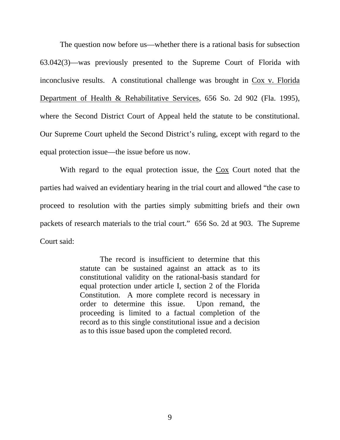The question now before us—whether there is a rational basis for subsection 63.042(3)—was previously presented to the Supreme Court of Florida with inconclusive results. A constitutional challenge was brought in Cox v. Florida Department of Health & Rehabilitative Services, 656 So. 2d 902 (Fla. 1995), where the Second District Court of Appeal held the statute to be constitutional. Our Supreme Court upheld the Second District's ruling, except with regard to the equal protection issue—the issue before us now.

With regard to the equal protection issue, the  $\frac{\cos C}{\cos C}$  Court noted that the parties had waived an evidentiary hearing in the trial court and allowed "the case to proceed to resolution with the parties simply submitting briefs and their own packets of research materials to the trial court." 656 So. 2d at 903. The Supreme Court said:

> The record is insufficient to determine that this statute can be sustained against an attack as to its constitutional validity on the rational-basis standard for equal protection under article I, section 2 of the Florida Constitution. A more complete record is necessary in order to determine this issue. Upon remand, the proceeding is limited to a factual completion of the record as to this single constitutional issue and a decision as to this issue based upon the completed record.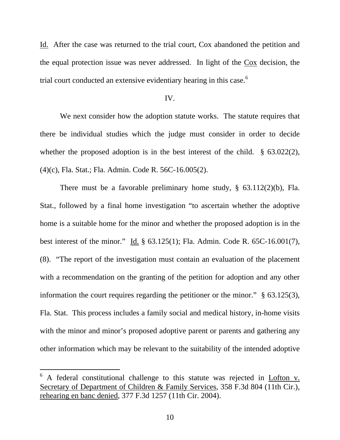Id. After the case was returned to the trial court, Cox abandoned the petition and the equal protection issue was never addressed. In light of the Cox decision, the trial court conducted an extensive evidentiary hearing in this case.<sup>6</sup>

## IV.

We next consider how the adoption statute works. The statute requires that there be individual studies which the judge must consider in order to decide whether the proposed adoption is in the best interest of the child. § 63.022(2), (4)(c), Fla. Stat.; Fla. Admin. Code R. 56C-16.005(2).

There must be a favorable preliminary home study, § 63.112(2)(b), Fla. Stat., followed by a final home investigation "to ascertain whether the adoptive home is a suitable home for the minor and whether the proposed adoption is in the best interest of the minor." Id. § 63.125(1); Fla. Admin. Code R. 65C-16.001(7), (8). "The report of the investigation must contain an evaluation of the placement with a recommendation on the granting of the petition for adoption and any other information the court requires regarding the petitioner or the minor." § 63.125(3), Fla. Stat. This process includes a family social and medical history, in-home visits with the minor and minor's proposed adoptive parent or parents and gathering any other information which may be relevant to the suitability of the intended adoptive

<sup>6</sup> A federal constitutional challenge to this statute was rejected in Lofton v. Secretary of Department of Children & Family Services, 358 F.3d 804 (11th Cir.), rehearing en banc denied, 377 F.3d 1257 (11th Cir. 2004).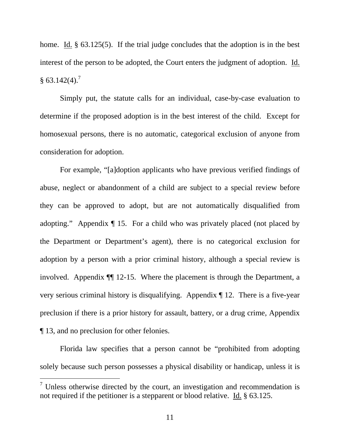home. Id. § 63.125(5). If the trial judge concludes that the adoption is in the best interest of the person to be adopted, the Court enters the judgment of adoption. Id.  $§ 63.142(4).^{7}$ 

 Simply put, the statute calls for an individual, case-by-case evaluation to determine if the proposed adoption is in the best interest of the child. Except for homosexual persons, there is no automatic, categorical exclusion of anyone from consideration for adoption.

 For example, "[a]doption applicants who have previous verified findings of abuse, neglect or abandonment of a child are subject to a special review before they can be approved to adopt, but are not automatically disqualified from adopting." Appendix ¶ 15. For a child who was privately placed (not placed by the Department or Department's agent), there is no categorical exclusion for adoption by a person with a prior criminal history, although a special review is involved. Appendix ¶¶ 12-15. Where the placement is through the Department, a very serious criminal history is disqualifying. Appendix ¶ 12. There is a five-year preclusion if there is a prior history for assault, battery, or a drug crime, Appendix ¶ 13, and no preclusion for other felonies.

 Florida law specifies that a person cannot be "prohibited from adopting solely because such person possesses a physical disability or handicap, unless it is

 $\overline{a}$ 

 $<sup>7</sup>$  Unless otherwise directed by the court, an investigation and recommendation is</sup> not required if the petitioner is a stepparent or blood relative. Id. § 63.125.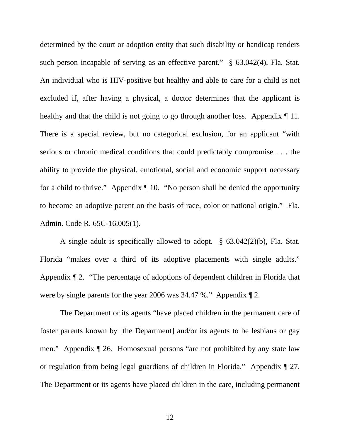determined by the court or adoption entity that such disability or handicap renders such person incapable of serving as an effective parent." § 63.042(4), Fla. Stat. An individual who is HIV-positive but healthy and able to care for a child is not excluded if, after having a physical, a doctor determines that the applicant is healthy and that the child is not going to go through another loss. Appendix  $\P$  11. There is a special review, but no categorical exclusion, for an applicant "with serious or chronic medical conditions that could predictably compromise . . . the ability to provide the physical, emotional, social and economic support necessary for a child to thrive." Appendix ¶ 10. "No person shall be denied the opportunity to become an adoptive parent on the basis of race, color or national origin." Fla. Admin. Code R. 65C-16.005(1).

 A single adult is specifically allowed to adopt. § 63.042(2)(b), Fla. Stat. Florida "makes over a third of its adoptive placements with single adults." Appendix ¶ 2. "The percentage of adoptions of dependent children in Florida that were by single parents for the year 2006 was 34.47 %." Appendix ¶ 2.

 The Department or its agents "have placed children in the permanent care of foster parents known by [the Department] and/or its agents to be lesbians or gay men." Appendix ¶ 26. Homosexual persons "are not prohibited by any state law or regulation from being legal guardians of children in Florida." Appendix ¶ 27. The Department or its agents have placed children in the care, including permanent

12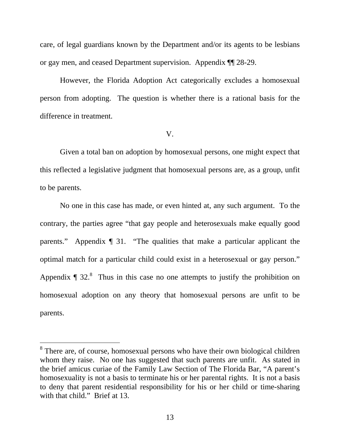care, of legal guardians known by the Department and/or its agents to be lesbians or gay men, and ceased Department supervision. Appendix ¶¶ 28-29.

 However, the Florida Adoption Act categorically excludes a homosexual person from adopting. The question is whether there is a rational basis for the difference in treatment.

#### V.

 Given a total ban on adoption by homosexual persons, one might expect that this reflected a legislative judgment that homosexual persons are, as a group, unfit to be parents.

 No one in this case has made, or even hinted at, any such argument. To the contrary, the parties agree "that gay people and heterosexuals make equally good parents." Appendix ¶ 31. "The qualities that make a particular applicant the optimal match for a particular child could exist in a heterosexual or gay person." Appendix  $\P$  32.<sup>8</sup> Thus in this case no one attempts to justify the prohibition on homosexual adoption on any theory that homosexual persons are unfit to be parents.

 $\overline{a}$ 

<sup>&</sup>lt;sup>8</sup> There are, of course, homosexual persons who have their own biological children whom they raise. No one has suggested that such parents are unfit. As stated in the brief amicus curiae of the Family Law Section of The Florida Bar, "A parent's homosexuality is not a basis to terminate his or her parental rights. It is not a basis to deny that parent residential responsibility for his or her child or time-sharing with that child." Brief at 13.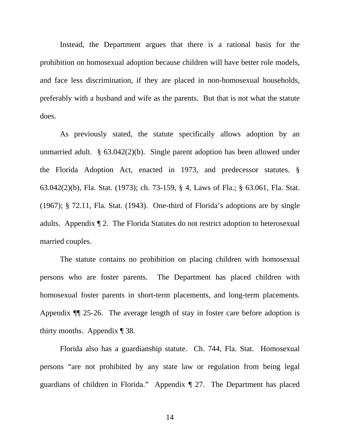Instead, the Department argues that there is a rational basis for the prohibition on homosexual adoption because children will have better role models, and face less discrimination, if they are placed in non-homosexual households, preferably with a husband and wife as the parents. But that is not what the statute does.

 As previously stated, the statute specifically allows adoption by an unmarried adult. § 63.042(2)(b). Single parent adoption has been allowed under the Florida Adoption Act, enacted in 1973, and predecessor statutes. § 63.042(2)(b), Fla. Stat. (1973); ch. 73-159, § 4, Laws of Fla.; § 63.061, Fla. Stat. (1967); § 72.11, Fla. Stat. (1943). One-third of Florida's adoptions are by single adults. Appendix ¶ 2. The Florida Statutes do not restrict adoption to heterosexual married couples.

 The statute contains no prohibition on placing children with homosexual persons who are foster parents. The Department has placed children with homosexual foster parents in short-term placements, and long-term placements. Appendix ¶¶ 25-26. The average length of stay in foster care before adoption is thirty months. Appendix ¶ 38.

 Florida also has a guardianship statute. Ch. 744, Fla. Stat. Homosexual persons "are not prohibited by any state law or regulation from being legal guardians of children in Florida." Appendix ¶ 27. The Department has placed

14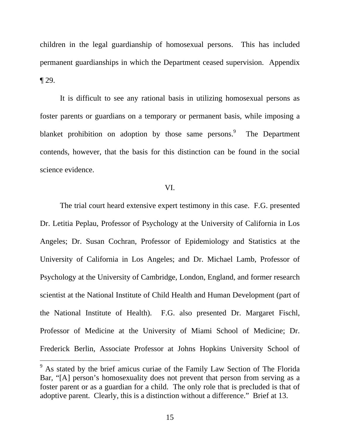children in the legal guardianship of homosexual persons. This has included permanent guardianships in which the Department ceased supervision. Appendix ¶ 29.

 It is difficult to see any rational basis in utilizing homosexual persons as foster parents or guardians on a temporary or permanent basis, while imposing a blanket prohibition on adoption by those same persons.<sup>9</sup> The Department contends, however, that the basis for this distinction can be found in the social science evidence.

## VI.

 The trial court heard extensive expert testimony in this case. F.G. presented Dr. Letitia Peplau, Professor of Psychology at the University of California in Los Angeles; Dr. Susan Cochran, Professor of Epidemiology and Statistics at the University of California in Los Angeles; and Dr. Michael Lamb, Professor of Psychology at the University of Cambridge, London, England, and former research scientist at the National Institute of Child Health and Human Development (part of the National Institute of Health). F.G. also presented Dr. Margaret Fischl, Professor of Medicine at the University of Miami School of Medicine; Dr. Frederick Berlin, Associate Professor at Johns Hopkins University School of

 $\overline{a}$ 

<sup>&</sup>lt;sup>9</sup> As stated by the brief amicus curiae of the Family Law Section of The Florida Bar, "[A] person's homosexuality does not prevent that person from serving as a foster parent or as a guardian for a child. The only role that is precluded is that of adoptive parent. Clearly, this is a distinction without a difference." Brief at 13.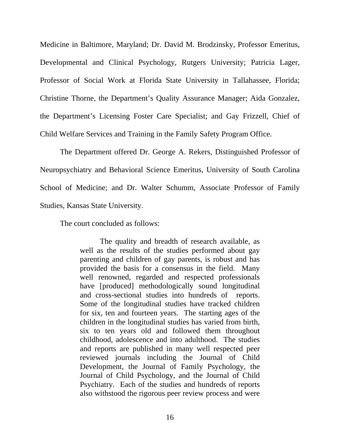Medicine in Baltimore, Maryland; Dr. David M. Brodzinsky, Professor Emeritus, Developmental and Clinical Psychology, Rutgers University; Patricia Lager, Professor of Social Work at Florida State University in Tallahassee, Florida; Christine Thorne, the Department's Quality Assurance Manager; Aida Gonzalez, the Department's Licensing Foster Care Specialist; and Gay Frizzell, Chief of Child Welfare Services and Training in the Family Safety Program Office.

 The Department offered Dr. George A. Rekers, Distinguished Professor of Neuropsychiatry and Behavioral Science Emeritus, University of South Carolina School of Medicine; and Dr. Walter Schumm, Associate Professor of Family Studies, Kansas State University.

The court concluded as follows:

 The quality and breadth of research available, as well as the results of the studies performed about gay parenting and children of gay parents, is robust and has provided the basis for a consensus in the field. Many well renowned, regarded and respected professionals have [produced] methodologically sound longitudinal and cross-sectional studies into hundreds of reports. Some of the longitudinal studies have tracked children for six, ten and fourteen years. The starting ages of the children in the longitudinal studies has varied from birth, six to ten years old and followed them throughout childhood, adolescence and into adulthood. The studies and reports are published in many well respected peer reviewed journals including the Journal of Child Development, the Journal of Family Psychology, the Journal of Child Psychology, and the Journal of Child Psychiatry. Each of the studies and hundreds of reports also withstood the rigorous peer review process and were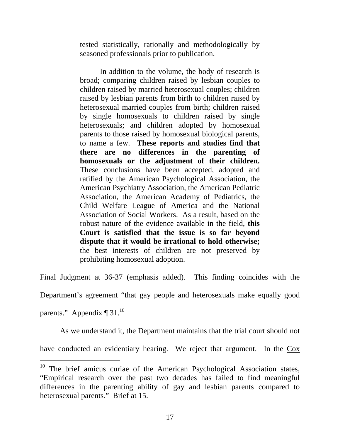tested statistically, rationally and methodologically by seasoned professionals prior to publication.

 In addition to the volume, the body of research is broad; comparing children raised by lesbian couples to children raised by married heterosexual couples; children raised by lesbian parents from birth to children raised by heterosexual married couples from birth; children raised by single homosexuals to children raised by single heterosexuals; and children adopted by homosexual parents to those raised by homosexual biological parents, to name a few. **These reports and studies find that there are no differences in the parenting of homosexuals or the adjustment of their children.** These conclusions have been accepted, adopted and ratified by the American Psychological Association, the American Psychiatry Association, the American Pediatric Association, the American Academy of Pediatrics, the Child Welfare League of America and the National Association of Social Workers. As a result, based on the robust nature of the evidence available in the field, **this Court is satisfied that the issue is so far beyond dispute that it would be irrational to hold otherwise;**  the best interests of children are not preserved by prohibiting homosexual adoption.

Final Judgment at 36-37 (emphasis added). This finding coincides with the

Department's agreement "that gay people and heterosexuals make equally good

parents." Appendix  $\P$  31.<sup>10</sup>

-

As we understand it, the Department maintains that the trial court should not

have conducted an evidentiary hearing. We reject that argument. In the Cox

 $10$  The brief amicus curiae of the American Psychological Association states, "Empirical research over the past two decades has failed to find meaningful differences in the parenting ability of gay and lesbian parents compared to heterosexual parents." Brief at 15.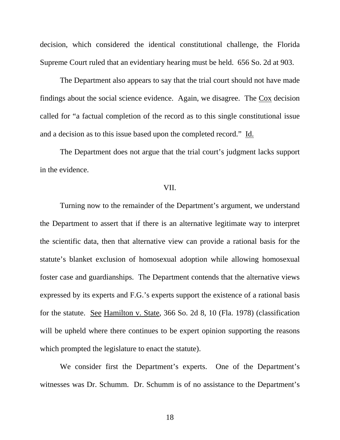decision, which considered the identical constitutional challenge, the Florida Supreme Court ruled that an evidentiary hearing must be held. 656 So. 2d at 903.

 The Department also appears to say that the trial court should not have made findings about the social science evidence. Again, we disagree. The Cox decision called for "a factual completion of the record as to this single constitutional issue and a decision as to this issue based upon the completed record." Id.

 The Department does not argue that the trial court's judgment lacks support in the evidence.

## VII.

 Turning now to the remainder of the Department's argument, we understand the Department to assert that if there is an alternative legitimate way to interpret the scientific data, then that alternative view can provide a rational basis for the statute's blanket exclusion of homosexual adoption while allowing homosexual foster case and guardianships. The Department contends that the alternative views expressed by its experts and F.G.'s experts support the existence of a rational basis for the statute. See Hamilton v. State, 366 So. 2d 8, 10 (Fla. 1978) (classification will be upheld where there continues to be expert opinion supporting the reasons which prompted the legislature to enact the statute).

 We consider first the Department's experts. One of the Department's witnesses was Dr. Schumm. Dr. Schumm is of no assistance to the Department's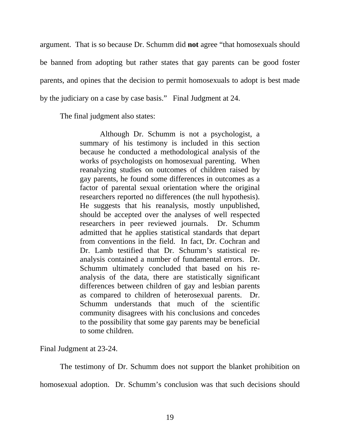argument. That is so because Dr. Schumm did **not** agree "that homosexuals should be banned from adopting but rather states that gay parents can be good foster parents, and opines that the decision to permit homosexuals to adopt is best made by the judiciary on a case by case basis." Final Judgment at 24.

The final judgment also states:

 Although Dr. Schumm is not a psychologist, a summary of his testimony is included in this section because he conducted a methodological analysis of the works of psychologists on homosexual parenting. When reanalyzing studies on outcomes of children raised by gay parents, he found some differences in outcomes as a factor of parental sexual orientation where the original researchers reported no differences (the null hypothesis). He suggests that his reanalysis, mostly unpublished, should be accepted over the analyses of well respected researchers in peer reviewed journals. Dr. Schumm admitted that he applies statistical standards that depart from conventions in the field. In fact, Dr. Cochran and Dr. Lamb testified that Dr. Schumm's statistical reanalysis contained a number of fundamental errors. Dr. Schumm ultimately concluded that based on his reanalysis of the data, there are statistically significant differences between children of gay and lesbian parents as compared to children of heterosexual parents. Dr. Schumm understands that much of the scientific community disagrees with his conclusions and concedes to the possibility that some gay parents may be beneficial to some children.

Final Judgment at 23-24.

The testimony of Dr. Schumm does not support the blanket prohibition on homosexual adoption. Dr. Schumm's conclusion was that such decisions should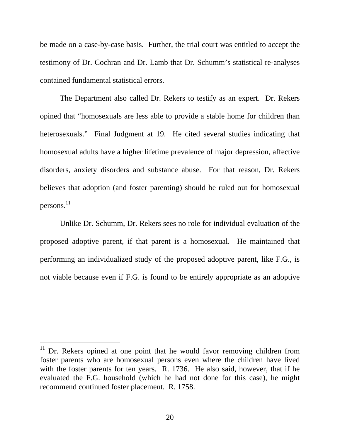be made on a case-by-case basis. Further, the trial court was entitled to accept the testimony of Dr. Cochran and Dr. Lamb that Dr. Schumm's statistical re-analyses contained fundamental statistical errors.

 The Department also called Dr. Rekers to testify as an expert. Dr. Rekers opined that "homosexuals are less able to provide a stable home for children than heterosexuals." Final Judgment at 19. He cited several studies indicating that homosexual adults have a higher lifetime prevalence of major depression, affective disorders, anxiety disorders and substance abuse. For that reason, Dr. Rekers believes that adoption (and foster parenting) should be ruled out for homosexual persons. 11

Unlike Dr. Schumm, Dr. Rekers sees no role for individual evaluation of the proposed adoptive parent, if that parent is a homosexual. He maintained that performing an individualized study of the proposed adoptive parent, like F.G., is not viable because even if F.G. is found to be entirely appropriate as an adoptive

 $\overline{a}$ 

 $11$  Dr. Rekers opined at one point that he would favor removing children from foster parents who are homosexual persons even where the children have lived with the foster parents for ten years. R. 1736. He also said, however, that if he evaluated the F.G. household (which he had not done for this case), he might recommend continued foster placement. R. 1758.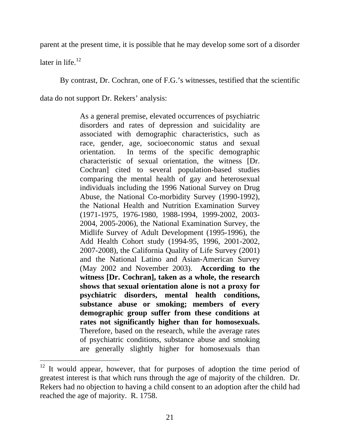parent at the present time, it is possible that he may develop some sort of a disorder

later in life. $^{12}$ 

-

By contrast, Dr. Cochran, one of F.G.'s witnesses, testified that the scientific

data do not support Dr. Rekers' analysis:

As a general premise, elevated occurrences of psychiatric disorders and rates of depression and suicidality are associated with demographic characteristics, such as race, gender, age, socioeconomic status and sexual orientation. In terms of the specific demographic characteristic of sexual orientation, the witness [Dr. Cochran] cited to several population-based studies comparing the mental health of gay and heterosexual individuals including the 1996 National Survey on Drug Abuse, the National Co-morbidity Survey (1990-1992), the National Health and Nutrition Examination Survey (1971-1975, 1976-1980, 1988-1994, 1999-2002, 2003- 2004, 2005-2006), the National Examination Survey, the Midlife Survey of Adult Development (1995-1996), the Add Health Cohort study (1994-95, 1996, 2001-2002, 2007-2008), the California Quality of Life Survey (2001) and the National Latino and Asian-American Survey (May 2002 and November 2003). **According to the witness [Dr. Cochran], taken as a whole, the research shows that sexual orientation alone is not a proxy for psychiatric disorders, mental health conditions, substance abuse or smoking; members of every demographic group suffer from these conditions at rates not significantly higher than for homosexuals.** Therefore, based on the research, while the average rates of psychiatric conditions, substance abuse and smoking are generally slightly higher for homosexuals than

 $12$  It would appear, however, that for purposes of adoption the time period of greatest interest is that which runs through the age of majority of the children. Dr. Rekers had no objection to having a child consent to an adoption after the child had reached the age of majority. R. 1758.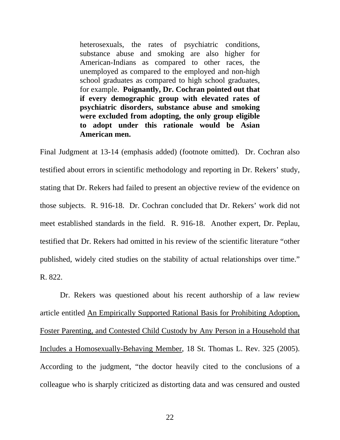heterosexuals, the rates of psychiatric conditions, substance abuse and smoking are also higher for American-Indians as compared to other races, the unemployed as compared to the employed and non-high school graduates as compared to high school graduates, for example. **Poignantly, Dr. Cochran pointed out that if every demographic group with elevated rates of psychiatric disorders, substance abuse and smoking were excluded from adopting, the only group eligible to adopt under this rationale would be Asian American men.**

Final Judgment at 13-14 (emphasis added) (footnote omitted). Dr. Cochran also testified about errors in scientific methodology and reporting in Dr. Rekers' study, stating that Dr. Rekers had failed to present an objective review of the evidence on those subjects. R. 916-18. Dr. Cochran concluded that Dr. Rekers' work did not meet established standards in the field. R. 916-18. Another expert, Dr. Peplau, testified that Dr. Rekers had omitted in his review of the scientific literature "other published, widely cited studies on the stability of actual relationships over time." R. 822.

 Dr. Rekers was questioned about his recent authorship of a law review article entitled An Empirically Supported Rational Basis for Prohibiting Adoption, Foster Parenting, and Contested Child Custody by Any Person in a Household that Includes a Homosexually-Behaving Member, 18 St. Thomas L. Rev. 325 (2005). According to the judgment, "the doctor heavily cited to the conclusions of a colleague who is sharply criticized as distorting data and was censured and ousted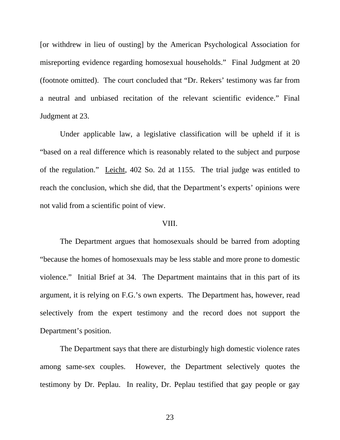[or withdrew in lieu of ousting] by the American Psychological Association for misreporting evidence regarding homosexual households." Final Judgment at 20 (footnote omitted). The court concluded that "Dr. Rekers' testimony was far from a neutral and unbiased recitation of the relevant scientific evidence." Final Judgment at 23.

 Under applicable law, a legislative classification will be upheld if it is "based on a real difference which is reasonably related to the subject and purpose of the regulation." Leicht, 402 So. 2d at 1155. The trial judge was entitled to reach the conclusion, which she did, that the Department's experts' opinions were not valid from a scientific point of view.

## VIII.

The Department argues that homosexuals should be barred from adopting "because the homes of homosexuals may be less stable and more prone to domestic violence." Initial Brief at 34. The Department maintains that in this part of its argument, it is relying on F.G.'s own experts. The Department has, however, read selectively from the expert testimony and the record does not support the Department's position.

The Department says that there are disturbingly high domestic violence rates among same-sex couples. However, the Department selectively quotes the testimony by Dr. Peplau. In reality, Dr. Peplau testified that gay people or gay

23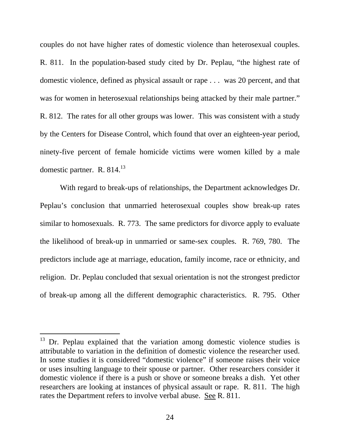couples do not have higher rates of domestic violence than heterosexual couples. R. 811. In the population-based study cited by Dr. Peplau, "the highest rate of domestic violence, defined as physical assault or rape . . . was 20 percent, and that was for women in heterosexual relationships being attacked by their male partner." R. 812. The rates for all other groups was lower. This was consistent with a study by the Centers for Disease Control, which found that over an eighteen-year period, ninety-five percent of female homicide victims were women killed by a male domestic partner. R. 814.<sup>13</sup>

With regard to break-ups of relationships, the Department acknowledges Dr. Peplau's conclusion that unmarried heterosexual couples show break-up rates similar to homosexuals. R. 773. The same predictors for divorce apply to evaluate the likelihood of break-up in unmarried or same-sex couples. R. 769, 780. The predictors include age at marriage, education, family income, race or ethnicity, and religion. Dr. Peplau concluded that sexual orientation is not the strongest predictor of break-up among all the different demographic characteristics. R. 795. Other

 $13$  Dr. Peplau explained that the variation among domestic violence studies is attributable to variation in the definition of domestic violence the researcher used. In some studies it is considered "domestic violence" if someone raises their voice or uses insulting language to their spouse or partner. Other researchers consider it domestic violence if there is a push or shove or someone breaks a dish. Yet other researchers are looking at instances of physical assault or rape. R. 811. The high rates the Department refers to involve verbal abuse. See R. 811.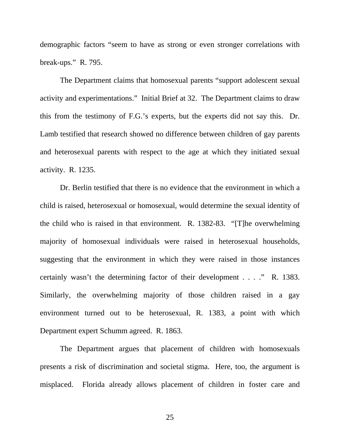demographic factors "seem to have as strong or even stronger correlations with break-ups." R. 795.

The Department claims that homosexual parents "support adolescent sexual activity and experimentations." Initial Brief at 32. The Department claims to draw this from the testimony of F.G.'s experts, but the experts did not say this. Dr. Lamb testified that research showed no difference between children of gay parents and heterosexual parents with respect to the age at which they initiated sexual activity. R. 1235.

Dr. Berlin testified that there is no evidence that the environment in which a child is raised, heterosexual or homosexual, would determine the sexual identity of the child who is raised in that environment. R. 1382-83. "[T]he overwhelming majority of homosexual individuals were raised in heterosexual households, suggesting that the environment in which they were raised in those instances certainly wasn't the determining factor of their development . . . ." R. 1383. Similarly, the overwhelming majority of those children raised in a gay environment turned out to be heterosexual, R. 1383, a point with which Department expert Schumm agreed. R. 1863.

The Department argues that placement of children with homosexuals presents a risk of discrimination and societal stigma. Here, too, the argument is misplaced. Florida already allows placement of children in foster care and

25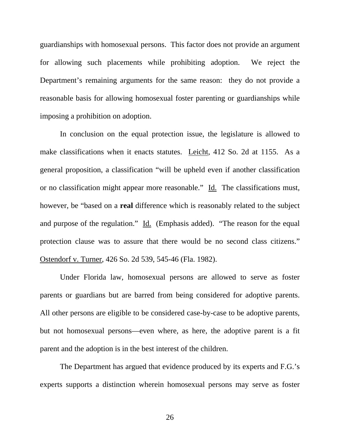guardianships with homosexual persons. This factor does not provide an argument for allowing such placements while prohibiting adoption. We reject the Department's remaining arguments for the same reason: they do not provide a reasonable basis for allowing homosexual foster parenting or guardianships while imposing a prohibition on adoption.

In conclusion on the equal protection issue, the legislature is allowed to make classifications when it enacts statutes. Leicht, 412 So. 2d at 1155. As a general proposition, a classification "will be upheld even if another classification or no classification might appear more reasonable." Id. The classifications must, however, be "based on a **real** difference which is reasonably related to the subject and purpose of the regulation." Id. (Emphasis added). "The reason for the equal protection clause was to assure that there would be no second class citizens." Ostendorf v. Turner, 426 So. 2d 539, 545-46 (Fla. 1982).

Under Florida law, homosexual persons are allowed to serve as foster parents or guardians but are barred from being considered for adoptive parents. All other persons are eligible to be considered case-by-case to be adoptive parents, but not homosexual persons—even where, as here, the adoptive parent is a fit parent and the adoption is in the best interest of the children.

The Department has argued that evidence produced by its experts and F.G.'s experts supports a distinction wherein homosexual persons may serve as foster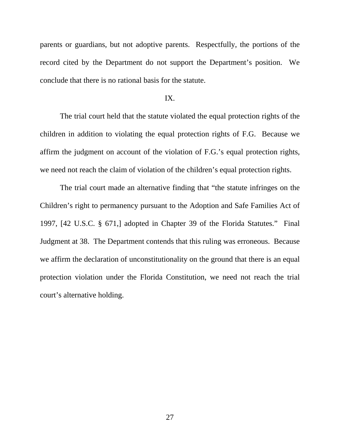parents or guardians, but not adoptive parents. Respectfully, the portions of the record cited by the Department do not support the Department's position. We conclude that there is no rational basis for the statute.

## IX.

 The trial court held that the statute violated the equal protection rights of the children in addition to violating the equal protection rights of F.G. Because we affirm the judgment on account of the violation of F.G.'s equal protection rights, we need not reach the claim of violation of the children's equal protection rights.

The trial court made an alternative finding that "the statute infringes on the Children's right to permanency pursuant to the Adoption and Safe Families Act of 1997, [42 U.S.C. § 671,] adopted in Chapter 39 of the Florida Statutes." Final Judgment at 38. The Department contends that this ruling was erroneous. Because we affirm the declaration of unconstitutionality on the ground that there is an equal protection violation under the Florida Constitution, we need not reach the trial court's alternative holding.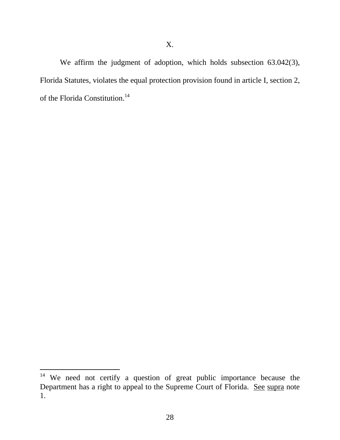We affirm the judgment of adoption, which holds subsection 63.042(3), Florida Statutes, violates the equal protection provision found in article I, section 2, of the Florida Constitution.<sup>14</sup>

 $14$  We need not certify a question of great public importance because the Department has a right to appeal to the Supreme Court of Florida. See supra note 1.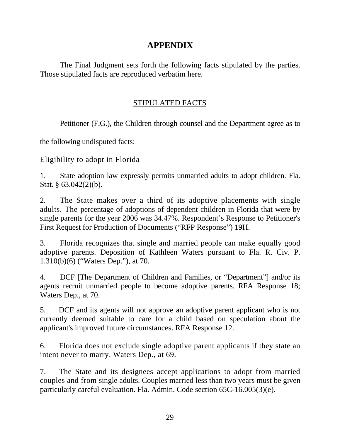# **APPENDIX**

The Final Judgment sets forth the following facts stipulated by the parties. Those stipulated facts are reproduced verbatim here.

# STIPULATED FACTS

Petitioner (F.G.), the Children through counsel and the Department agree as to

the following undisputed facts:

# Eligibility to adopt in Florida

1. State adoption law expressly permits unmarried adults to adopt children. Fla. Stat. § 63.042(2)(b).

2. The State makes over a third of its adoptive placements with single adults. The percentage of adoptions of dependent children in Florida that were by single parents for the year 2006 was 34.47%. Respondent's Response to Petitioner's First Request for Production of Documents ("RFP Response") 19H.

3. Florida recognizes that single and married people can make equally good adoptive parents. Deposition of Kathleen Waters pursuant to Fla. R. Civ. P. 1.310(b)(6) ("Waters Dep."), at 70.

4. DCF [The Department of Children and Families, or "Department"] and/or its agents recruit unmarried people to become adoptive parents. RFA Response 18; Waters Dep., at 70.

5. DCF and its agents will not approve an adoptive parent applicant who is not currently deemed suitable to care for a child based on speculation about the applicant's improved future circumstances. RFA Response 12.

6. Florida does not exclude single adoptive parent applicants if they state an intent never to marry. Waters Dep., at 69.

7. The State and its designees accept applications to adopt from married couples and from single adults. Couples married less than two years must be given particularly careful evaluation. Fla. Admin. Code section 65C-16.005(3)(e).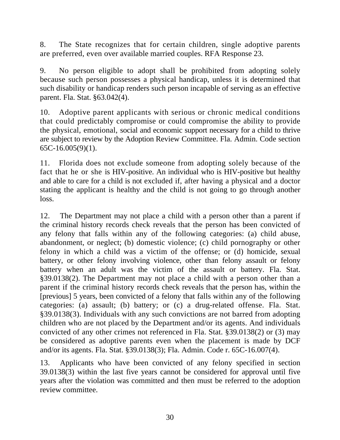8. The State recognizes that for certain children, single adoptive parents are preferred, even over available married couples. RFA Response 23.

9. No person eligible to adopt shall be prohibited from adopting solely because such person possesses a physical handicap, unless it is determined that such disability or handicap renders such person incapable of serving as an effective parent. Fla. Stat. §63.042(4).

10. Adoptive parent applicants with serious or chronic medical conditions that could predictably compromise or could compromise the ability to provide the physical, emotional, social and economic support necessary for a child to thrive are subject to review by the Adoption Review Committee. Fla. Admin. Code section 65C-16.005(9)(1).

11. Florida does not exclude someone from adopting solely because of the fact that he or she is HIV-positive. An individual who is HIV-positive but healthy and able to care for a child is not excluded if, after having a physical and a doctor stating the applicant is healthy and the child is not going to go through another loss.

12. The Department may not place a child with a person other than a parent if the criminal history records check reveals that the person has been convicted of any felony that falls within any of the following categories: (a) child abuse, abandonment, or neglect; (b) domestic violence; (c) child pornography or other felony in which a child was a victim of the offense; or (d) homicide, sexual battery, or other felony involving violence, other than felony assault or felony battery when an adult was the victim of the assault or battery. Fla. Stat. §39.0138(2). The Department may not place a child with a person other than a parent if the criminal history records check reveals that the person has, within the [previous] 5 years, been convicted of a felony that falls within any of the following categories: (a) assault; (b) battery; or (c) a drug-related offense. Fla. Stat. §39.0138(3). Individuals with any such convictions are not barred from adopting children who are not placed by the Department and/or its agents. And individuals convicted of any other crimes not referenced in Fla. Stat. §39.0138(2) or (3) may be considered as adoptive parents even when the placement is made by DCF and/or its agents. Fla. Stat. §39.0138(3); Fla. Admin. Code r. 65C-16.007(4).

13. Applicants who have been convicted of any felony specified in section 39.0138(3) within the last five years cannot be considered for approval until five years after the violation was committed and then must be referred to the adoption review committee.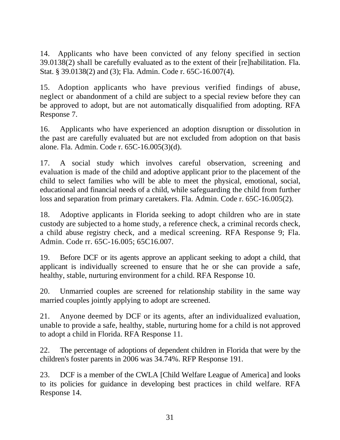14. Applicants who have been convicted of any felony specified in section 39.0138(2) shall be carefully evaluated as to the extent of their [re]habilitation. Fla. Stat. § 39.0138(2) and (3); Fla. Admin. Code r. 65C-16.007(4).

15. Adoption applicants who have previous verified findings of abuse, neglect or abandonment of a child are subject to a special review before they can be approved to adopt, but are not automatically disqualified from adopting. RFA Response 7.

16. Applicants who have experienced an adoption disruption or dissolution in the past are carefully evaluated but are not excluded from adoption on that basis alone. Fla. Admin. Code r. 65C-16.005(3)(d).

17. A social study which involves careful observation, screening and evaluation is made of the child and adoptive applicant prior to the placement of the child to select families who will be able to meet the physical, emotional, social, educational and financial needs of a child, while safeguarding the child from further loss and separation from primary caretakers. Fla. Admin. Code r. 65C-16.005(2).

18. Adoptive applicants in Florida seeking to adopt children who are in state custody are subjected to a home study, a reference check, a criminal records check, a child abuse registry check, and a medical screening. RFA Response 9; Fla. Admin. Code rr. 65C-16.005; 65C16.007.

19. Before DCF or its agents approve an applicant seeking to adopt a child, that applicant is individually screened to ensure that he or she can provide a safe, healthy, stable, nurturing environment for a child. RFA Response 10.

20. Unmarried couples are screened for relationship stability in the same way married couples jointly applying to adopt are screened.

21. Anyone deemed by DCF or its agents, after an individualized evaluation, unable to provide a safe, healthy, stable, nurturing home for a child is not approved to adopt a child in Florida. RFA Response 11.

22. The percentage of adoptions of dependent children in Florida that were by the children's foster parents in 2006 was 34.74%. RFP Response 191.

23. DCF is a member of the CWLA [Child Welfare League of America] and looks to its policies for guidance in developing best practices in child welfare. RFA Response 14.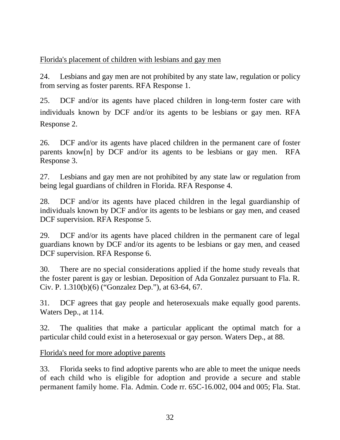Florida's placement of children with lesbians and gay men

24. Lesbians and gay men are not prohibited by any state law, regulation or policy from serving as foster parents. RFA Response 1.

25. DCF and/or its agents have placed children in long-term foster care with individuals known by DCF and/or its agents to be lesbians or gay men. RFA Response 2.

26. DCF and/or its agents have placed children in the permanent care of foster parents know[n] by DCF and/or its agents to be lesbians or gay men. RFA Response 3.

27. Lesbians and gay men are not prohibited by any state law or regulation from being legal guardians of children in Florida. RFA Response 4.

28. DCF and/or its agents have placed children in the legal guardianship of individuals known by DCF and/or its agents to be lesbians or gay men, and ceased DCF supervision. RFA Response 5.

29. DCF and/or its agents have placed children in the permanent care of legal guardians known by DCF and/or its agents to be lesbians or gay men, and ceased DCF supervision. RFA Response 6.

30. There are no special considerations applied if the home study reveals that the foster parent is gay or lesbian. Deposition of Ada Gonzalez pursuant to Fla. R. Civ. P. 1.310(b)(6) ("Gonzalez Dep."), at 63-64, 67.

31. DCF agrees that gay people and heterosexuals make equally good parents. Waters Dep., at 114.

32. The qualities that make a particular applicant the optimal match for a particular child could exist in a heterosexual or gay person. Waters Dep., at 88.

Florida's need for more adoptive parents

33. Florida seeks to find adoptive parents who are able to meet the unique needs of each child who is eligible for adoption and provide a secure and stable permanent family home. Fla. Admin. Code rr. 65C-16.002, 004 and 005; Fla. Stat.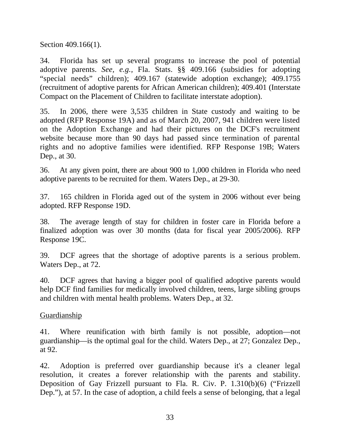Section 409.166(1).

34. Florida has set up several programs to increase the pool of potential adoptive parents. *See, e.g.,* Fla. Stats. §§ 409.166 (subsidies for adopting "special needs" children); 409.167 (statewide adoption exchange); 409.1755 (recruitment of adoptive parents for African American children); 409.401 (Interstate Compact on the Placement of Children to facilitate interstate adoption).

35. In 2006, there were 3,535 children in State custody and waiting to be adopted (RFP Response 19A) and as of March 20, 2007, 941 children were listed on the Adoption Exchange and had their pictures on the DCF's recruitment website because more than 90 days had passed since termination of parental rights and no adoptive families were identified. RFP Response 19B; Waters Dep., at 30.

36. At any given point, there are about 900 to 1,000 children in Florida who need adoptive parents to be recruited for them. Waters Dep., at 29-30.

37. 165 children in Florida aged out of the system in 2006 without ever being adopted. RFP Response 19D.

38. The average length of stay for children in foster care in Florida before a finalized adoption was over 30 months (data for fiscal year 2005/2006). RFP Response 19C.

39. DCF agrees that the shortage of adoptive parents is a serious problem. Waters Dep., at 72.

40. DCF agrees that having a bigger pool of qualified adoptive parents would help DCF find families for medically involved children, teens, large sibling groups and children with mental health problems. Waters Dep., at 32.

Guardianship

41. Where reunification with birth family is not possible, adoption—not guardianship—is the optimal goal for the child. Waters Dep., at 27; Gonzalez Dep., at 92.

42. Adoption is preferred over guardianship because it's a cleaner legal resolution, it creates a forever relationship with the parents and stability. Deposition of Gay Frizzell pursuant to Fla. R. Civ. P. 1.310(b)(6) ("Frizzell Dep."), at 57. In the case of adoption, a child feels a sense of belonging, that a legal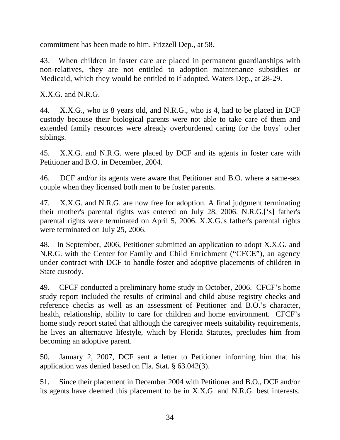commitment has been made to him. Frizzell Dep., at 58.

43. When children in foster care are placed in permanent guardianships with non-relatives, they are not entitled to adoption maintenance subsidies or Medicaid, which they would be entitled to if adopted. Waters Dep., at 28-29.

# X.X.G. and N.R.G.

44. X.X.G., who is 8 years old, and N.R.G., who is 4, had to be placed in DCF custody because their biological parents were not able to take care of them and extended family resources were already overburdened caring for the boys' other siblings.

45. X.X.G. and N.R.G. were placed by DCF and its agents in foster care with Petitioner and B.O. in December, 2004.

46. DCF and/or its agents were aware that Petitioner and B.O. where a same-sex couple when they licensed both men to be foster parents.

47. X.X.G. and N.R.G. are now free for adoption. A final judgment terminating their mother's parental rights was entered on July 28, 2006. N.R.G.['s] father's parental rights were terminated on April 5, 2006. X.X.G.'s father's parental rights were terminated on July 25, 2006.

48. In September, 2006, Petitioner submitted an application to adopt X.X.G. and N.R.G. with the Center for Family and Child Enrichment ("CFCE"), an agency under contract with DCF to handle foster and adoptive placements of children in State custody.

49. CFCF conducted a preliminary home study in October, 2006. CFCF's home study report included the results of criminal and child abuse registry checks and reference checks as well as an assessment of Petitioner and B.O.'s character, health, relationship, ability to care for children and home environment. CFCF's home study report stated that although the caregiver meets suitability requirements, he lives an alternative lifestyle, which by Florida Statutes, precludes him from becoming an adoptive parent.

50. January 2, 2007, DCF sent a letter to Petitioner informing him that his application was denied based on Fla. Stat. § 63.042(3).

51. Since their placement in December 2004 with Petitioner and B.O., DCF and/or its agents have deemed this placement to be in X.X.G. and N.R.G. best interests.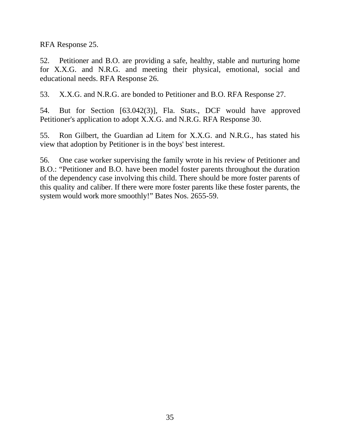RFA Response 25.

52. Petitioner and B.O. are providing a safe, healthy, stable and nurturing home for X.X.G. and N.R.G. and meeting their physical, emotional, social and educational needs. RFA Response 26.

53. X.X.G. and N.R.G. are bonded to Petitioner and B.O. RFA Response 27.

54. But for Section [63.042(3)], Fla. Stats., DCF would have approved Petitioner's application to adopt X.X.G. and N.R.G. RFA Response 30.

55. Ron Gilbert, the Guardian ad Litem for X.X.G. and N.R.G., has stated his view that adoption by Petitioner is in the boys' best interest.

56. One case worker supervising the family wrote in his review of Petitioner and B.O.: "Petitioner and B.O. have been model foster parents throughout the duration of the dependency case involving this child. There should be more foster parents of this quality and caliber. If there were more foster parents like these foster parents, the system would work more smoothly!" Bates Nos. 2655-59.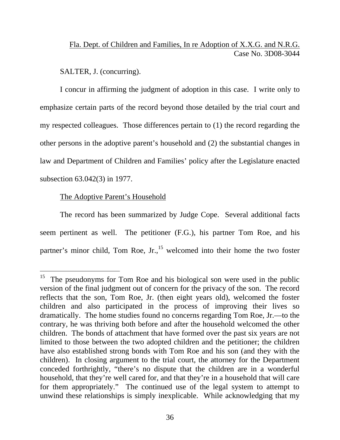# Fla. Dept. of Children and Families, In re Adoption of X.X.G. and N.R.G. Case No. 3D08-3044

SALTER, J. (concurring).

 I concur in affirming the judgment of adoption in this case. I write only to emphasize certain parts of the record beyond those detailed by the trial court and my respected colleagues. Those differences pertain to (1) the record regarding the other persons in the adoptive parent's household and (2) the substantial changes in law and Department of Children and Families' policy after the Legislature enacted subsection 63.042(3) in 1977.

## The Adoptive Parent's Household

 $\overline{a}$ 

 The record has been summarized by Judge Cope. Several additional facts seem pertinent as well. The petitioner (F.G.), his partner Tom Roe, and his partner's minor child, Tom Roe,  $Jr<sub>1</sub>$ <sup>15</sup> welcomed into their home the two foster

<sup>&</sup>lt;sup>15</sup> The pseudonyms for Tom Roe and his biological son were used in the public version of the final judgment out of concern for the privacy of the son. The record reflects that the son, Tom Roe, Jr. (then eight years old), welcomed the foster children and also participated in the process of improving their lives so dramatically. The home studies found no concerns regarding Tom Roe, Jr.—to the contrary, he was thriving both before and after the household welcomed the other children. The bonds of attachment that have formed over the past six years are not limited to those between the two adopted children and the petitioner; the children have also established strong bonds with Tom Roe and his son (and they with the children). In closing argument to the trial court, the attorney for the Department conceded forthrightly, "there's no dispute that the children are in a wonderful household, that they're well cared for, and that they're in a household that will care for them appropriately." The continued use of the legal system to attempt to unwind these relationships is simply inexplicable. While acknowledging that my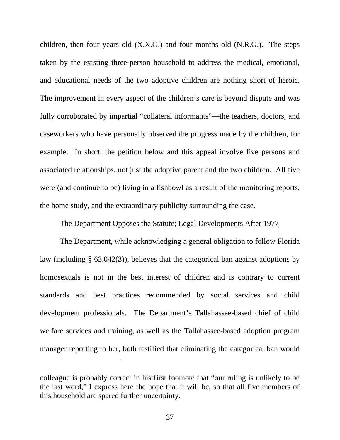children, then four years old (X.X.G.) and four months old (N.R.G.). The steps taken by the existing three-person household to address the medical, emotional, and educational needs of the two adoptive children are nothing short of heroic. The improvement in every aspect of the children's care is beyond dispute and was fully corroborated by impartial "collateral informants"—the teachers, doctors, and caseworkers who have personally observed the progress made by the children, for example. In short, the petition below and this appeal involve five persons and associated relationships, not just the adoptive parent and the two children. All five were (and continue to be) living in a fishbowl as a result of the monitoring reports, the home study, and the extraordinary publicity surrounding the case.

## The Department Opposes the Statute; Legal Developments After 1977

 The Department, while acknowledging a general obligation to follow Florida law (including § 63.042(3)), believes that the categorical ban against adoptions by homosexuals is not in the best interest of children and is contrary to current standards and best practices recommended by social services and child development professionals. The Department's Tallahassee-based chief of child welfare services and training, as well as the Tallahassee-based adoption program manager reporting to her, both testified that eliminating the categorical ban would

 $\overline{a}$ 

colleague is probably correct in his first footnote that "our ruling is unlikely to be the last word," I express here the hope that it will be, so that all five members of this household are spared further uncertainty.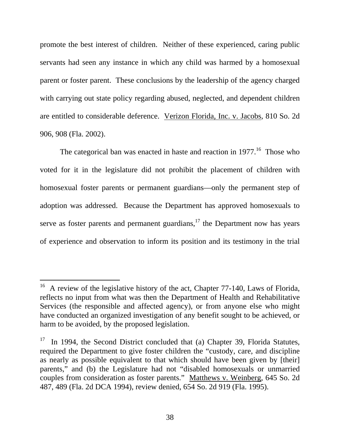promote the best interest of children. Neither of these experienced, caring public servants had seen any instance in which any child was harmed by a homosexual parent or foster parent. These conclusions by the leadership of the agency charged with carrying out state policy regarding abused, neglected, and dependent children are entitled to considerable deference. Verizon Florida, Inc. v. Jacobs, 810 So. 2d 906, 908 (Fla. 2002).

The categorical ban was enacted in haste and reaction in  $1977$ .<sup>16</sup> Those who voted for it in the legislature did not prohibit the placement of children with homosexual foster parents or permanent guardians—only the permanent step of adoption was addressed. Because the Department has approved homosexuals to serve as foster parents and permanent guardians, $17$  the Department now has years of experience and observation to inform its position and its testimony in the trial

 $16$  A review of the legislative history of the act, Chapter 77-140, Laws of Florida, reflects no input from what was then the Department of Health and Rehabilitative Services (the responsible and affected agency), or from anyone else who might have conducted an organized investigation of any benefit sought to be achieved, or harm to be avoided, by the proposed legislation.

 $17$  In 1994, the Second District concluded that (a) Chapter 39, Florida Statutes, required the Department to give foster children the "custody, care, and discipline as nearly as possible equivalent to that which should have been given by [their] parents," and (b) the Legislature had not "disabled homosexuals or unmarried couples from consideration as foster parents." Matthews v. Weinberg, 645 So. 2d 487, 489 (Fla. 2d DCA 1994), review denied, 654 So. 2d 919 (Fla. 1995).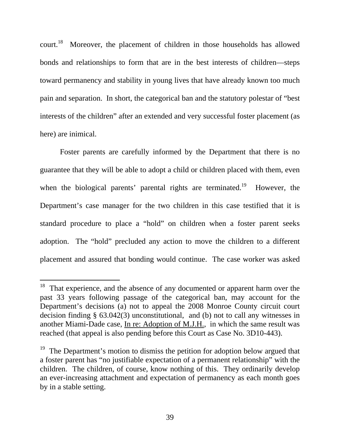court.<sup>18</sup> Moreover, the placement of children in those households has allowed bonds and relationships to form that are in the best interests of children—steps toward permanency and stability in young lives that have already known too much pain and separation. In short, the categorical ban and the statutory polestar of "best interests of the children" after an extended and very successful foster placement (as here) are inimical.

 Foster parents are carefully informed by the Department that there is no guarantee that they will be able to adopt a child or children placed with them, even when the biological parents' parental rights are terminated.<sup>19</sup> However, the Department's case manager for the two children in this case testified that it is standard procedure to place a "hold" on children when a foster parent seeks adoption. The "hold" precluded any action to move the children to a different placement and assured that bonding would continue. The case worker was asked

 $18$  That experience, and the absence of any documented or apparent harm over the past 33 years following passage of the categorical ban, may account for the Department's decisions (a) not to appeal the 2008 Monroe County circuit court decision finding § 63.042(3) unconstitutional, and (b) not to call any witnesses in another Miami-Dade case, In re: Adoption of M.J.H., in which the same result was reached (that appeal is also pending before this Court as Case No. 3D10-443).

<sup>&</sup>lt;sup>19</sup> The Department's motion to dismiss the petition for adoption below argued that a foster parent has "no justifiable expectation of a permanent relationship" with the children. The children, of course, know nothing of this. They ordinarily develop an ever-increasing attachment and expectation of permanency as each month goes by in a stable setting.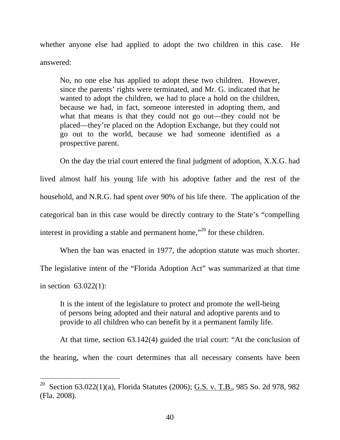whether anyone else had applied to adopt the two children in this case. He answered:

No, no one else has applied to adopt these two children. However, since the parents' rights were terminated, and Mr. G. indicated that he wanted to adopt the children, we had to place a hold on the children, because we had, in fact, someone interested in adopting them, and what that means is that they could not go out—they could not be placed—they're placed on the Adoption Exchange, but they could not go out to the world, because we had someone identified as a prospective parent.

 On the day the trial court entered the final judgment of adoption, X.X.G. had lived almost half his young life with his adoptive father and the rest of the household, and N.R.G. had spent over 90% of his life there. The application of the categorical ban in this case would be directly contrary to the State's "compelling interest in providing a stable and permanent home,<sup> $20$ </sup> for these children.

 When the ban was enacted in 1977, the adoption statute was much shorter. The legislative intent of the "Florida Adoption Act" was summarized at that time in section 63.022(1):

It is the intent of the legislature to protect and promote the well-being of persons being adopted and their natural and adoptive parents and to provide to all children who can benefit by it a permanent family life.

 At that time, section 63.142(4) guided the trial court: "At the conclusion of the hearing, when the court determines that all necessary consents have been

<sup>&</sup>lt;sup>20</sup> Section 63.022(1)(a), Florida Statutes (2006); **G.S. v. T.B.**, 985 So. 2d 978, 982 (Fla. 2008).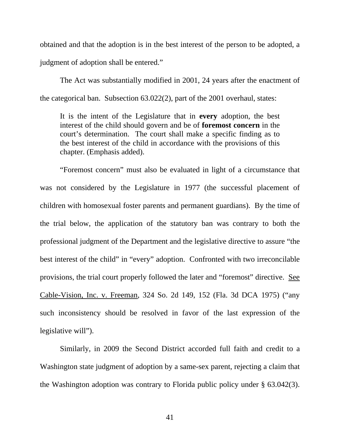obtained and that the adoption is in the best interest of the person to be adopted, a judgment of adoption shall be entered."

 The Act was substantially modified in 2001, 24 years after the enactment of the categorical ban. Subsection 63.022(2), part of the 2001 overhaul, states:

It is the intent of the Legislature that in **every** adoption, the best interest of the child should govern and be of **foremost concern** in the court's determination. The court shall make a specific finding as to the best interest of the child in accordance with the provisions of this chapter. (Emphasis added).

 "Foremost concern" must also be evaluated in light of a circumstance that was not considered by the Legislature in 1977 (the successful placement of children with homosexual foster parents and permanent guardians). By the time of the trial below, the application of the statutory ban was contrary to both the professional judgment of the Department and the legislative directive to assure "the best interest of the child" in "every" adoption. Confronted with two irreconcilable provisions, the trial court properly followed the later and "foremost" directive. See Cable-Vision, Inc. v. Freeman, 324 So. 2d 149, 152 (Fla. 3d DCA 1975) ("any such inconsistency should be resolved in favor of the last expression of the legislative will").

 Similarly, in 2009 the Second District accorded full faith and credit to a Washington state judgment of adoption by a same-sex parent, rejecting a claim that the Washington adoption was contrary to Florida public policy under § 63.042(3).